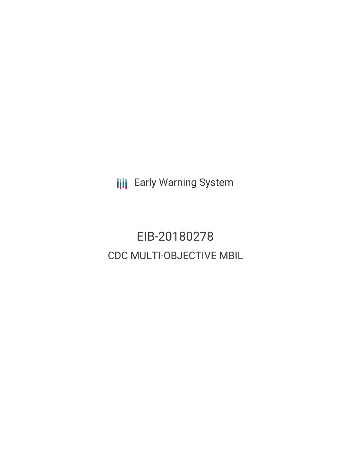**III** Early Warning System

EIB-20180278 CDC MULTI-OBJECTIVE MBIL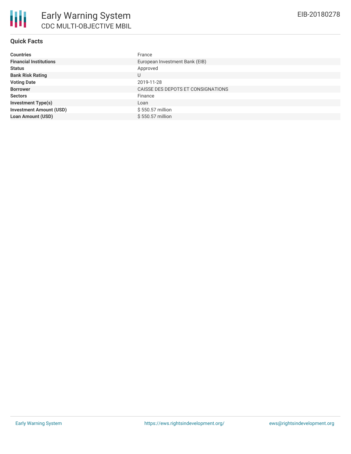| <b>Countries</b>               | France                             |
|--------------------------------|------------------------------------|
| <b>Financial Institutions</b>  | European Investment Bank (EIB)     |
| <b>Status</b>                  | Approved                           |
| <b>Bank Risk Rating</b>        | U                                  |
| <b>Voting Date</b>             | 2019-11-28                         |
| <b>Borrower</b>                | CAISSE DES DEPOTS ET CONSIGNATIONS |
| <b>Sectors</b>                 | Finance                            |
| <b>Investment Type(s)</b>      | Loan                               |
| <b>Investment Amount (USD)</b> | \$550.57 million                   |
| <b>Loan Amount (USD)</b>       | \$550.57 million                   |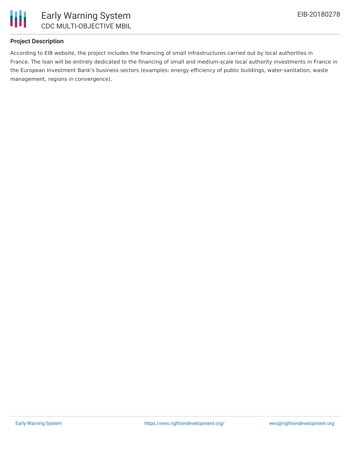

### **Project Description**

According to EIB website, the project includes the financing of small infrastructures carried out by local authorities in France. The loan will be entirely dedicated to the financing of small and medium-scale local authority investments in France in the European Investment Bank's business sectors (examples: energy efficiency of public buildings, water-sanitation, waste management, regions in convergence).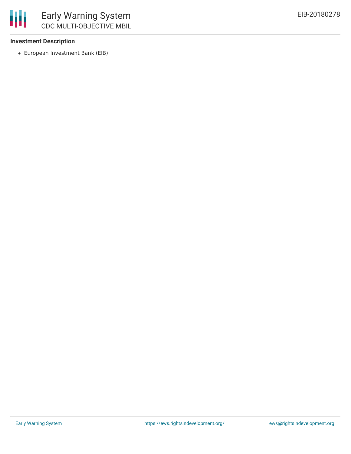### **Investment Description**

冊

European Investment Bank (EIB)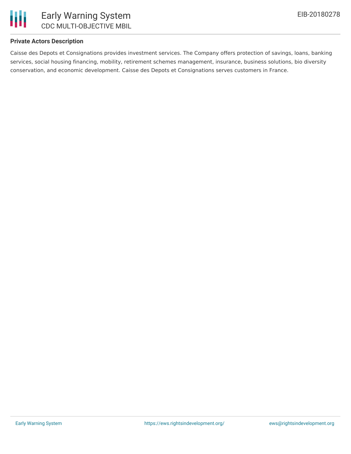

### **Private Actors Description**

Caisse des Depots et Consignations provides investment services. The Company offers protection of savings, loans, banking services, social housing financing, mobility, retirement schemes management, insurance, business solutions, bio diversity conservation, and economic development. Caisse des Depots et Consignations serves customers in France.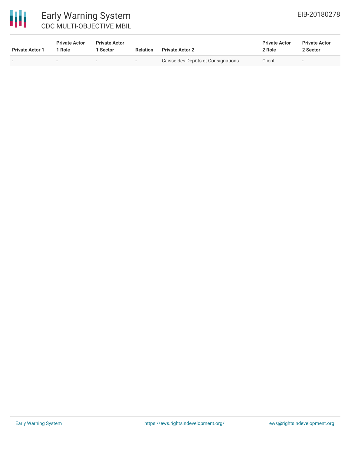# 冊

## Early Warning System CDC MULTI-OBJECTIVE MBIL

| <b>Private Actor 1</b>   | <b>Private Actor</b><br><sup>1</sup> Role | <b>Private Actor</b><br>l Sector | <b>Relation</b>          | <b>Private Actor 2</b>             | <b>Private Actor</b><br>2 Role | <b>Private Actor</b><br>2 Sector |
|--------------------------|-------------------------------------------|----------------------------------|--------------------------|------------------------------------|--------------------------------|----------------------------------|
| $\overline{\phantom{0}}$ | $\,$                                      | $\overline{\phantom{0}}$         | $\overline{\phantom{0}}$ | Caisse des Dépôts et Consignations | Client                         | $\overline{\phantom{0}}$         |